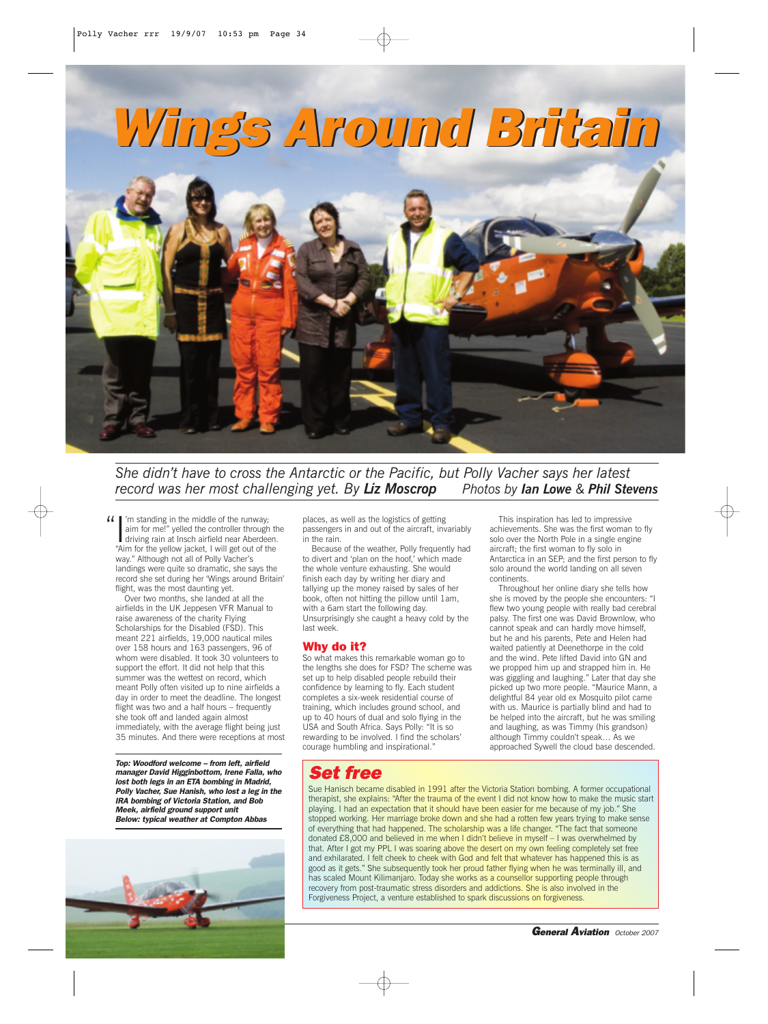

*She didn't have to cross the Antarctic or the Pacific, but Polly Vacher says her latest record was her most challenging yet. By Liz Moscrop Photos by Ian Lowe & Phil Stevens*

I'm standing in the middle of the runway;<br>aim for me!" yelled the controller through the<br>driving rain at Insch airfield near Aberdeen.<br>"Nim for the vellow jocket. I will get out of the 'm standing in the middle of the runway; aim for me!" yelled the controller through the "Aim for the yellow jacket, I will get out of the way." Although not all of Polly Vacher's landings were quite so dramatic, she says the record she set during her 'Wings around Britain' flight, was the most daunting yet.  $(11)$ 

Over two months, she landed at all the airfields in the UK Jeppesen VFR Manual to raise awareness of the charity Flying Scholarships for the Disabled (FSD). This meant 221 airfields, 19,000 nautical miles over 158 hours and 163 passengers, 96 of whom were disabled. It took 30 volunteers to support the effort. It did not help that this summer was the wettest on record, which meant Polly often visited up to nine airfields a day in order to meet the deadline. The longest flight was two and a half hours – frequently she took off and landed again almost immediately, with the average flight being just 35 minutes. And there were receptions at most

*Top: Woodford welcome – from left, airfield manager David Higginbottom, Irene Falla, who lost both legs in an ETA bombing in Madrid, Polly Vacher, Sue Hanish, who lost a leg in the IRA bombing of Victoria Station, and Bob Meek, airfield ground support unit Below: typical weather at Compton Abbas*



places, as well as the logistics of getting passengers in and out of the aircraft, invariably in the rain.

Because of the weather, Polly frequently had to divert and 'plan on the hoof,' which made the whole venture exhausting. She would finish each day by writing her diary and tallying up the money raised by sales of her book, often not hitting the pillow until 1am, with a 6am start the following day. Unsurprisingly she caught a heavy cold by the last week.

#### Why do it?

So what makes this remarkable woman go to the lengths she does for FSD? The scheme was set up to help disabled people rebuild their confidence by learning to fly. Each student completes a six-week residential course of training, which includes ground school, and up to 40 hours of dual and solo flying in the USA and South Africa. Says Polly: "It is so rewarding to be involved. I find the scholars' courage humbling and inspirational."

This inspiration has led to impressive achievements. She was the first woman to fly solo over the North Pole in a single engine aircraft; the first woman to fly solo in Antarctica in an SEP; and the first person to fly solo around the world landing on all seven continents.

Throughout her online diary she tells how she is moved by the people she encounters: "I flew two young people with really bad cerebral palsy. The first one was David Brownlow, who cannot speak and can hardly move himself, but he and his parents, Pete and Helen had waited patiently at Deenethorpe in the cold and the wind. Pete lifted David into GN and we propped him up and strapped him in. He was giggling and laughing." Later that day she picked up two more people. "Maurice Mann, a delightful 84 year old ex Mosquito pilot came with us. Maurice is partially blind and had to be helped into the aircraft, but he was smiling and laughing, as was Timmy (his grandson) although Timmy couldn't speak… As we approached Sywell the cloud base descended.

# *Set free*

Sue Hanisch became disabled in 1991 after the Victoria Station bombing. A former occupational therapist, she explains: "After the trauma of the event I did not know how to make the music start playing. I had an expectation that it should have been easier for me because of my job." She stopped working. Her marriage broke down and she had a rotten few years trying to make sense of everything that had happened. The scholarship was a life changer. "The fact that someone donated £8,000 and believed in me when I didn't believe in myself – I was overwhelmed by that. After I got my PPL I was soaring above the desert on my own feeling completely set free and exhilarated. I felt cheek to cheek with God and felt that whatever has happened this is as good as it gets." She subsequently took her proud father flying when he was terminally ill, and has scaled Mount Kilimanjaro. Today she works as a counsellor supporting people through recovery from post-traumatic stress disorders and addictions. She is also involved in the Forgiveness Project, a venture established to spark discussions on forgiveness.